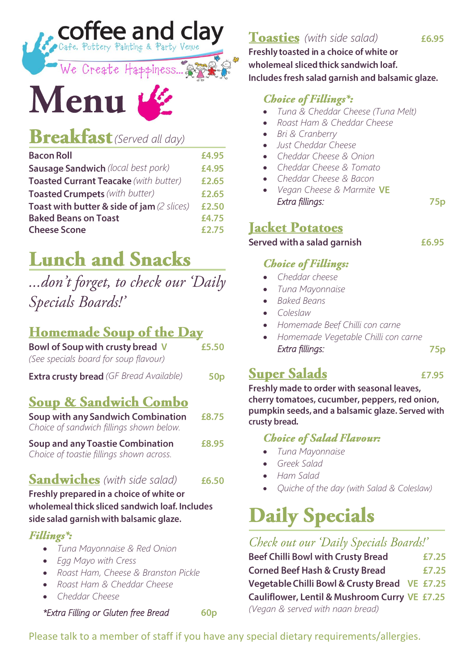*Toasties* (with side salad)

Freshly toasted in a choice of white or wholemeal sliced thick sandwich loaf. Includes fresh salad garnish and balsamic glaze.

### **Choice of Fillings\*:**

- *Tuna & Cheddar Cheese (Tuna Melt)*
- *Roast Ham & Cheddar Cheese*
- *Bri & Cranberry*
- *Just Cheddar Cheese*
- *Cheddar Cheese & Onion*
- *Cheddar Cheese & Tomato*
- *Cheddar Cheese & Bacon*
- *Vegan Cheese & Marmite Extra fillings:*

### **Jacket Potatoes**

Served with a salad garnish

### **Choice of Fillings:**

- *Cheddar cheese*
- *Tuna Mayonnaise*
- *Baked Beans*
- *Coleslaw*
- *Homemade Beef Chilli con carne*
- *Homemade Vegetable Chilli con carne Extra fillings:*  $75p$

# **Super Salads**

£7.95 Freshly made to order with seasonal leaves, cherry tomatoes, cucumber, peppers, red onion, pumpkin seeds, and a balsamic glaze. Served with

### **Choice of Salad Flavour:**

- *Tuna Mayonnaise*
- *Greek Salad*

crusty bread.

- *Ham Salad*
- *Quiche of the day (with Salad & Coleslaw)*

# **Daily Specials**

### Check out our 'Daily Specials Boards!'

**Beef Chilli Bowl with Crusty Bread** £7.25 **Corned Beef Hash & Crusty Bread** £7.25 Vegetable Chilli Bowl & Crusty Bread VE £7.25 Cauliflower, Lentil & Mushroom Curry VE £7.25 *(Vegan & served with naan bread)*

### Please talk to a member of staff if you have any special dietary requirements/allergies.

*(Served all day)*  **Bacon Roll** 

Menu

| <b>Sausage Sandwich</b> (local best pork)             | £4.95 |
|-------------------------------------------------------|-------|
| Toasted Currant Teacake (with butter)                 | £2.65 |
| <b>Toasted Crumpets</b> (with butter)                 | £2.65 |
| <b>Toast with butter &amp; side of jam (2 slices)</b> | £2.50 |
| <b>Baked Beans on Toast</b>                           | £4.75 |
| <b>Cheese Scone</b>                                   | £2.75 |

Coffee and clay

We Create Happiness 2

# **Lunch and Snacks**

# ...don't forget, to check our 'Daily Specials Boards!'

# Homemade Soup of the Day

| Bowl of Soup with crusty bread V               | £5.50           |
|------------------------------------------------|-----------------|
| (See specials board for soup flavour)          |                 |
| <b>Extra crusty bread</b> (GF Bread Available) | 50 <sub>p</sub> |
| <b><u>Soup &amp; Sandwich Combo</u></b>        |                 |
| Soup with any Sandwich Combination             | £8.75           |

*Choice of sandwich fillings shown below.* **Soup and any Toastie Combination £8.95** *Choice of toastie fillings shown across.*

# *Sandwiches* (with side salad)

Freshly prepared in a choice of white or wholemeal thick sliced sandwich loaf. Includes side salad garnish with balsamic glaze.

### Fillings\*:

- *Tuna Mayonnaise & Red Onion*
- *Egg Mayo with Cress*
- *Roast Ham, Cheese & Branston Pickle*
- *Roast Ham & Cheddar Cheese*
- *Cheddar Cheese*

*\*Extra Filling or Gluten free Bread* 

 $60<sub>p</sub>$ 

 $75p$ 

£6.95

£4.95

£6.50